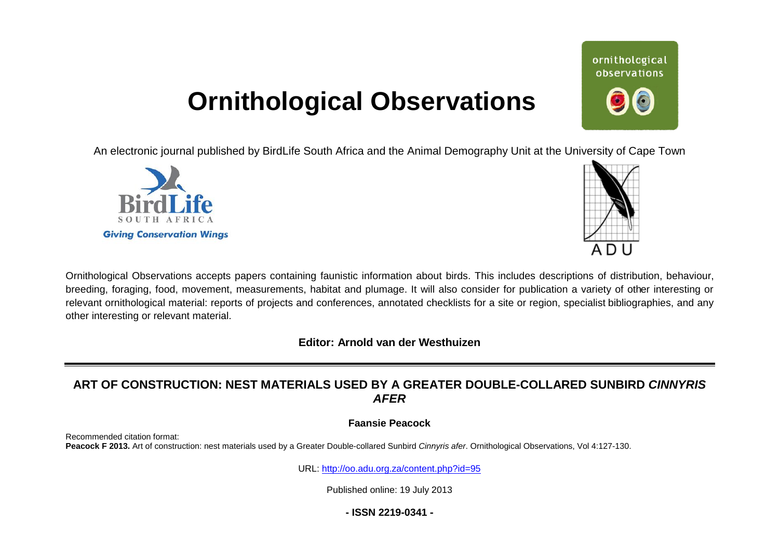# **Ornithological Observations**

An electronic journal published by BirdLife South Africa and the Animal Demography Unit at the University of Cape Town





ornithological observations

Ornithological Observations accepts papers containing faunistic information about birds. This includes descriptions of distribution, behaviour, breeding, foraging, food, movement, measurements, habitat and plumage. It will also consider for publication a variety of other interesting relevant ornithological material: reports of projects and conferences, annotated checklists for a site or region, specialist bibliographies, and any other interesting or relevant material. Il also consider for publication a variety of other interesting or<br>hecklists for a site or region, specialist bibliographies, and any<br>**esthuizen<br>ATER DOUBLE-COLLARED SUNBIRD CINNYRIS**<br>nyris afer. Omithological Observations

**Editor: Arnold van der Westhuizen** 

## **ART OF CONSTRUCTION: NEST MATERIALS USED BY A GREATER DOUBLE-COLLARED SUNBIRD** *CINNYRIS AFER*

## **Faansie Peacock**

Recommended citation format: Peacock F 2013. Art of construction: nest materials used by a Greater Double-collared Sunbird Cinnyris afer. Ornithological Observations, Vol 4:127-130.

URL: http://oo.adu.org.za/content.php?id=95

Published online: 19 July 2013

**- ISSN 2219-0341 -**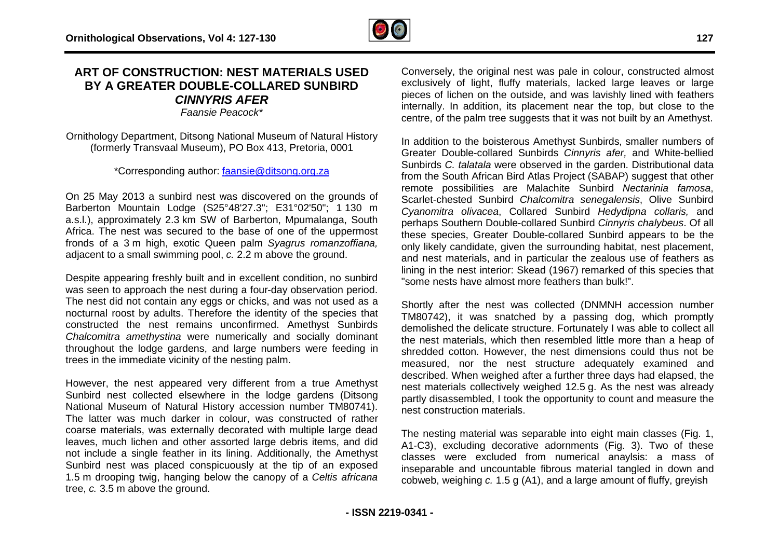## **ART OF CONSTRUCTION: NEST MATERIALS US N: USED BY A GREATER DOUBLE DOUBLE-COLLARED SUNBIRD**  *CINNYRIS AFER*

*Faansie Peacock\**

Ornithology Department, Ditsong National Museum of Natural History (formerly Transvaal Museum), PO Box 413, Pretoria, 0001

\*Corresponding author: [faansie@ditsong.org.za](mailto:faansie@ditsong.org.za)

On 25 May 2013 a sunbird nest was discovered on the grounds of On 25 May 2013 a sunbird nest was discovered on the grounds of<br>Barberton Mountain Lodge (S25°48'27.3"; E31°02'50"; 1 130 m a.s.l.), approximately 2.3 km SW of Barberton, Mpumalanga, South Africa. The nest was secured to the base of one of the uppermost fronds of a 3 m high, exotic Queen palm Syagrus *romanzoffiana,* adjacent to a small swimming pool, *c.* 2.2 m above the ground.

Despite appearing freshly built and in excellent condition, no sunbird was seen to approach the nest during a four-day observation period. The nest did not contain any eggs or chicks, and was not used as a nocturnal roost by adults. Therefore the identity of the species that constructed the nest remains unconfirmed. Ameth Chalcomitra amethystina were numerically and socially dominant throughout the lodge gardens, and large numbers were feeding in trees in the immediate vicinity of the nesting palm. nest did not contain any eggs or chicks, and was not used as a<br>urnal roost by adults. Therefore the identity of the species that<br>tructed the nest remains unconfirmed. Amethyst Sunbirds

However, the nest appeared very different from a true Amethyst Sunbird nest collected elsewhere in the lodge gardens (Ditsong National Museum of Natural History accession number TM80741). The latter was much darker in colour, was constructed of rather latter coarse materials, was externally decorated with multiple large dead leaves, much lichen and other assorted large debris items, and did not include a single feather in its lining. Additionally, the Amethyst Sunbird nest was placed conspicuously at the tip of an exposed 1.5 m drooping twig, hanging below the canopy of a Celtis africana tree, *c.* 3.5 m above the ground.

Conversely, the original nest was pale in colour, constructed almost Conversely, the original nest was pale in colour, constructed almost<br>exclusively of light, fluffy materials, lacked large leaves or large pieces of lichen on the outside, and was lavishly lined with feathers internally. In addition, its placement near the top, but close to the internally. In addition, its placement near the top, but close to the<br>centre, of the palm tree suggests that it was not built by an Amethyst.

In addition to the boisterous Amethyst Sunbirds, smaller numbers of Greater Double Double-collared Sunbirds *Cinnyris afer,* and White White-bellied Sunbirds *C. talatala* were observed in the garden. Distributional data from the South African Bird Atlas Project (SABAP) suggest that other remote possibilities are Malachite Sunbird Nectarinia famosa, Scarlet Scarlet-chested Sunbird *Chalcomitra senegalensis*, Olive Sunbird Cyanomitra olivacea, Collared Sunbird Hedydipna collaris, and perhaps Southern Double Double-collared Sunbird *Cinnyris chalybeus* . Of all these species, Greater Double-collared Sunbird appears to be the only likely candidate, given the surrounding habitat, nest placement, and nest materials, and in particular the zealous use of feathers as and nest materials, and in particular the zealous use of feathers as<br>lining in the nest interior: Skead (1967) remarked of this species that "some nests have almost more feathers than bulk!". these species, Greater Double-collared Sunbird appears to be the<br>only likely candidate, given the surrounding habitat, nest placement,<br>and nest materials, and in particular the zealous use of feathers as<br>lining in the nest

Shortly after the nest was collected (DNMNH accession number demolished the delicate structure. Fortunately I was able to collect all demolished the delicate structure. Fortunately I was able to collect all<br>the nest materials, which then resembled little more than a heap of shredded cotton. However, the nest dimensions could thus not be measured, nor the nest structure adequately examined and described. When weighed after a further three days had elapsed, the measured, nor the nest structure adequately examined and<br>described. When weighed after a further three days had elapsed, the<br>nest materials collectively weighed 12.5 g. As the nest was already partly disassembled, I took the opportunity to count and measure the nest construction materials. erials, which then resembled little more than a heap of<br>ton. However, the nest dimensions could thus not be<br>or the nest structure adequately examined and<br>nen weighed after a further three days had elapsed, the<br>s collective

The nesting material was separable into eight main classes (Fig A1-C3), excluding decorative adornments (Fig. 3). Two of these A1-C3), excluding decorative adornments (Fig. 3). Two of these<br>classes were excluded from numerical anaylsis: a mass of inseparable and uncountable fibrous material tangled in down and classes were excluded from numerical anaylsis: a mass o<br>inseparable and uncountable fibrous material tangled in down and<br>cobweb, weighing *c.* 1.5 g (A1), and a large amount of fluffy, greyish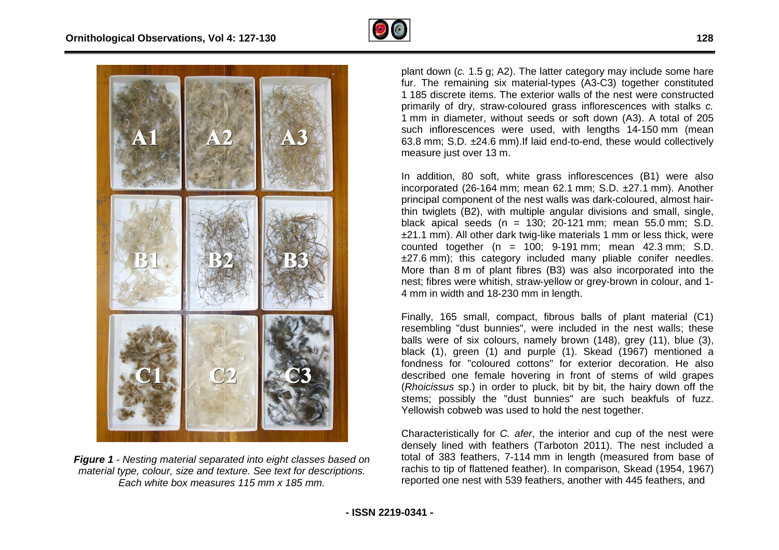



*Figure 1 - Nesting material separated into eight classes based on classes material type, colour, size and texture. See text for descriptions. Each white box measures 115 mm x 185 mm.* 

plant down ( *c.* 1.5 g; A2). The latter category may include some hare fur. The remaining six material-types (A3-C3) together constituted 1 185 discrete items. The exterior walls of the nest were constructed primarily of dry, straw-coloured grass inflorescences with stalks c. 1 mm in diameter, without seeds or soft down (A3). A total of 205 such inflorescences were used, with lengths 14-150 mm (mean 63.8 mm; S.D. ±24.6 mm). If laid end-to-end, these would collectively measure just over 13 m.

In addition, 80 soft, white grass inflorescences (B1) were also incorporated (26 (26-164 mm; mean 62.1 mm; S.D. ±27.1 mm). Another principal component of the nest walls was dark-coloured, almost hairthin twiglets (B2), with multiple angular divisions and small, single, black apical seeds (n = black seeds (n 130; 20-121 mm; mean 55.0 55.0 mm; S.D. ±21.1 mm). All other dark twig-like materials 1 mm or less thick, were counted together  $(n = 100; 9-191 \text{ mm}; \text{mean } 42.3 \text{ mm}; S.D.$ ±27.6 mm); this category included many pliable conifer needles. More than 8 8 m of plant fibres (B3) was also incorporated into the nest; fibres were whitish, straw-yellow or grey-brown in colour, and 1 4 mm in width and 18-230 mm in length. iable conifer needles.<br>bincorporated into the<br>brown in colour, and 1-

Finally, 165 small, compact, fibrous balls of plant material (C1) Finally, 165 small, compact, fibrous balls of plant material (C1)<br>resembling "dust bunnies", were included in the nest walls; these balls were of six colours, namely brown (148), grey (11), blue (3), balls were of six colours, namely brown (148), grey (11), blue (3),<br>black (1), green (1) and purple (1). Skead (1967) mentioned a fondness for fondness for "coloured cottons" for exterior decoration. He also described one female hovering in front of stems of wild grapes black (1), green (1) and purple (1). Skead (1967) mentioned a fondness for "coloured cottons" for exterior decoration. He also described one female hovering in front of stems of wild grapes (*Rhoicissus* sp.) in order to p stems; possibly the "dust bunnies" are such beakfuls of fuzz. Yellowish cobweb was used to hold the nest together.

Characteristically for *C. afer*, the interior and cup of the nest were densely lined with feathers (Tarboton 2011). The nest included a total of 383 feathers, 7 7-114 mm in length (measured from base of rachis to tip of flattened feather). In comparison, Skead (1954, 1967) rachis to tip of flattened feather). In comparison, Skead (1954, 1967)<br>reported one nest with 539 feathers, another with 445 feathers, and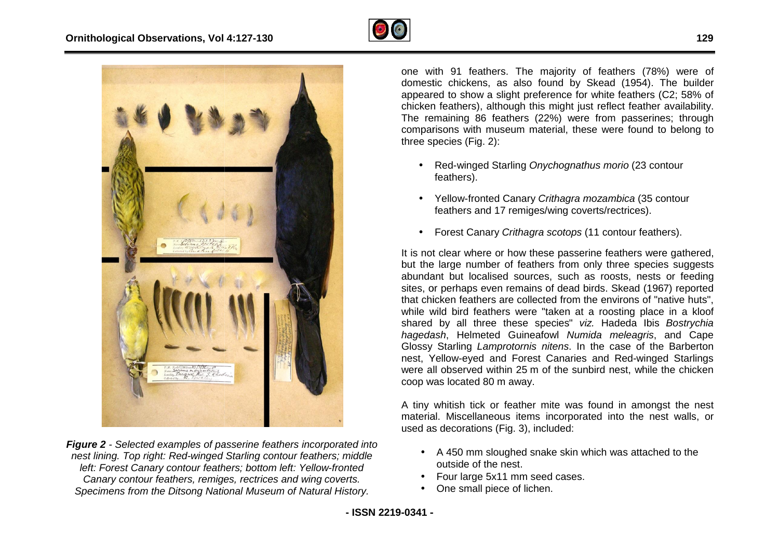



*Figure 2 - Selected examples of passerine feathers incorporated into*  **Figure 2** - Selected examples of passerine feathers incorporated intd<br>nest lining. Top right: Red-winged Starling contour feathers; middle left: Forest Canary contour feathers; bottom left: Yellow-fronted *Canary contour feathers, remiges, rectrices and wing coverts. Specimens from the Ditsong National Museum of Natural History.*

domestic chickens, as also found by Skead (1954). The builder appeared to show a slight preference for white feathers (C2; 58% of chicken feathers), although this might just reflect feather availability. The remaining 86 feathers (22%) were from passerines; through comparisons with museum material, these were found to belong to three species (Fig. (Fig. 2):

- Red-winged Starling *Onychognathus morio* (23 contour feathers).
- Yellow-fronted Canary *Crithagra mozambica* (35 contour feathers and 17 remiges/wing coverts/rectrices).
- Forest Canary *Crithagra scotops* (11 contour feathers).

It is not clear where or how these passerine feathers were gathered, but the large number of feathers from only three species suggests abundant but localised sources, such as roosts, nests or feeding but the large number of feathers from only three species suggests<br>abundant but localised sources, such as roosts, nests or feeding<br>sites, or perhaps even remains of dead birds. Skead (1967) reported that chicken feathers are collected from the environs of "native huts", while wild bird feathers were "taken at a roosting place in a kloof shared by all three these species" viz. Hadeda Ibis Bostrychia hagedash, Helmeted Guineafowl Numida meleagris, and Cape Glossy Starling *Lamprotornis nitens*. In the case of the Barberton nest, Yellow-eyed and Forest Canaries and Red-winged Starlings were all observed within 25 m of the sunbird nest, while the chicken coop was located 80 80 m away.

A tiny whitish tick or feather mite was found in amongst the nest material. Miscellaneous items incorporated into the nest walls, or used as decorations (Fig. 3), included: used as decorations (Fig. 3), included:

- A 450 mm sloughed snake skin which was attached to the outside of the nest.
- Four large 5x11 mm seed cases.
- One small piece of lichen.